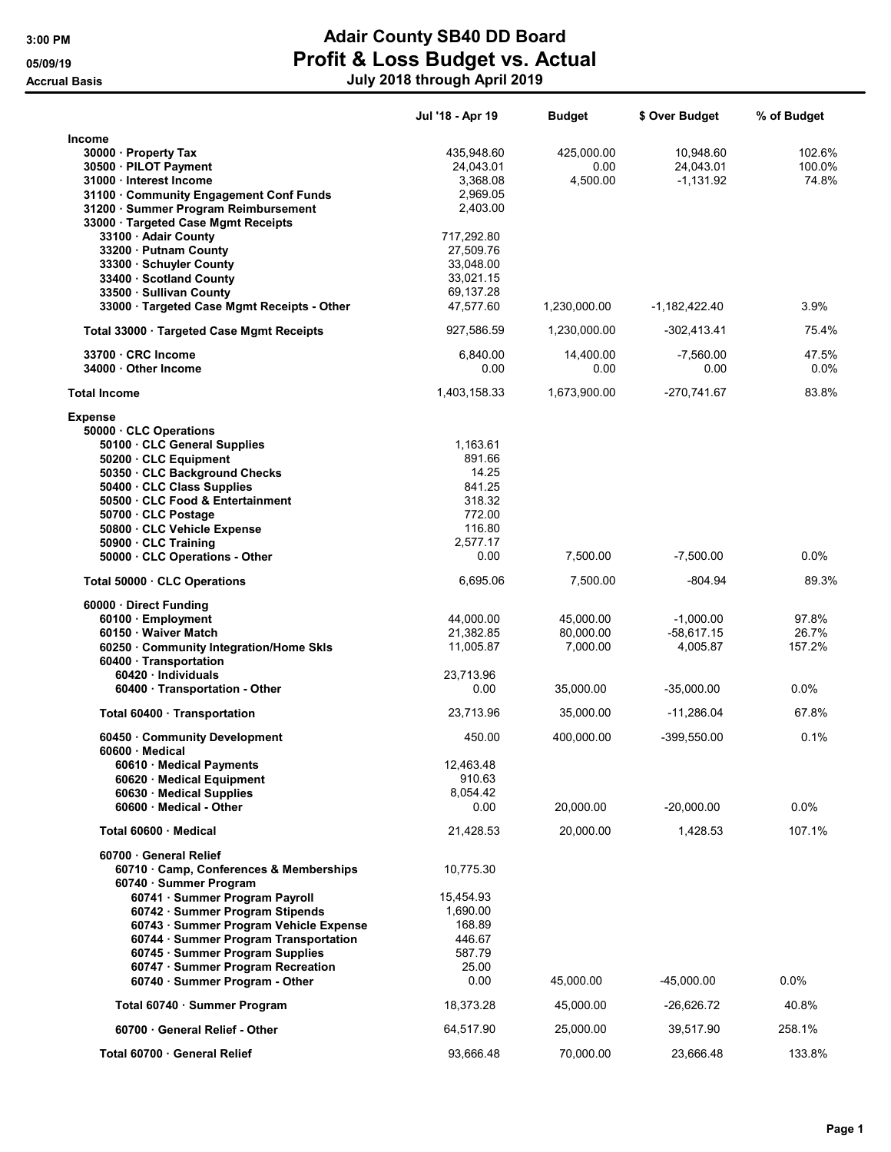## 3:00 PM **Adair County SB40 DD Board** 05/09/19 **Profit & Loss Budget vs. Actual** Accrual Basis July 2018 through April 2019

|                                                                                 | Jul '18 - Apr 19   | <b>Budget</b> | \$ Over Budget  | % of Budget |
|---------------------------------------------------------------------------------|--------------------|---------------|-----------------|-------------|
| Income                                                                          |                    |               |                 |             |
| 30000 · Property Tax                                                            | 435,948.60         | 425,000.00    | 10,948.60       | 102.6%      |
| 30500 · PILOT Payment                                                           | 24,043.01          | 0.00          | 24,043.01       | 100.0%      |
| 31000 · Interest Income                                                         | 3,368.08           | 4,500.00      | $-1,131.92$     | 74.8%       |
| 31100 Community Engagement Conf Funds                                           | 2,969.05           |               |                 |             |
| 31200 · Summer Program Reimbursement                                            | 2,403.00           |               |                 |             |
| 33000 · Targeted Case Mgmt Receipts                                             | 717,292.80         |               |                 |             |
| 33100 · Adair County<br>33200 · Putnam County                                   | 27,509.76          |               |                 |             |
| 33300 · Schuyler County                                                         | 33,048.00          |               |                 |             |
| 33400 · Scotland County                                                         | 33.021.15          |               |                 |             |
| 33500 · Sullivan County                                                         | 69,137.28          |               |                 |             |
| 33000 · Targeted Case Mgmt Receipts - Other                                     | 47,577.60          | 1,230,000.00  | $-1,182,422.40$ | 3.9%        |
| Total 33000 · Targeted Case Mgmt Receipts                                       | 927,586.59         | 1,230,000.00  | -302,413.41     | 75.4%       |
| 33700 CRC Income                                                                | 6,840.00           | 14,400.00     | $-7,560.00$     | 47.5%       |
| 34000 Other Income                                                              | 0.00               | 0.00          | 0.00            | $0.0\%$     |
|                                                                                 |                    |               |                 |             |
| <b>Total Income</b>                                                             | 1,403,158.33       | 1,673,900.00  | -270,741.67     | 83.8%       |
| <b>Expense</b>                                                                  |                    |               |                 |             |
| 50000 · CLC Operations                                                          |                    |               |                 |             |
| 50100 · CLC General Supplies                                                    | 1,163.61<br>891.66 |               |                 |             |
| 50200 · CLC Equipment<br>50350 CLC Background Checks                            | 14.25              |               |                 |             |
| 50400 · CLC Class Supplies                                                      | 841.25             |               |                 |             |
| 50500 · CLC Food & Entertainment                                                | 318.32             |               |                 |             |
| 50700 CLC Postage                                                               | 772.00             |               |                 |             |
| 50800 CLC Vehicle Expense                                                       | 116.80             |               |                 |             |
| 50900 CLC Training                                                              | 2,577.17           |               |                 |             |
| 50000 · CLC Operations - Other                                                  | 0.00               | 7,500.00      | $-7,500.00$     | $0.0\%$     |
| Total 50000 CLC Operations                                                      | 6,695.06           | 7,500.00      | $-804.94$       | 89.3%       |
| 60000 · Direct Funding                                                          |                    |               |                 |             |
| 60100 Employment                                                                | 44,000.00          | 45,000.00     | $-1,000.00$     | 97.8%       |
| 60150 Waiver Match                                                              | 21,382.85          | 80,000.00     | $-58,617.15$    | 26.7%       |
| 60250 Community Integration/Home Skls                                           | 11,005.87          | 7,000.00      | 4,005.87        | 157.2%      |
| 60400 · Transportation                                                          |                    |               |                 |             |
| 60420 · Individuals<br>60400 · Transportation - Other                           | 23,713.96<br>0.00  | 35,000.00     | $-35,000.00$    | 0.0%        |
|                                                                                 |                    |               |                 |             |
| Total 60400 · Transportation                                                    | 23,713.96          | 35,000.00     | -11,286.04      | 67.8%       |
| 60450 Community Development<br>60600 Medical                                    | 450.00             | 400,000.00    | $-399,550.00$   | 0.1%        |
| 60610 · Medical Payments                                                        | 12,463.48          |               |                 |             |
| 60620 · Medical Equipment                                                       | 910.63             |               |                 |             |
| 60630 Medical Supplies                                                          | 8,054.42           |               |                 |             |
| 60600 Medical - Other                                                           | 0.00               | 20,000.00     | -20,000.00      | $0.0\%$     |
| Total 60600 Medical                                                             | 21,428.53          | 20,000.00     | 1,428.53        | 107.1%      |
| 60700 General Relief                                                            |                    |               |                 |             |
| 60710 · Camp, Conferences & Memberships                                         | 10,775.30          |               |                 |             |
| 60740 · Summer Program                                                          |                    |               |                 |             |
| 60741 · Summer Program Payroll                                                  | 15,454.93          |               |                 |             |
| 60742 · Summer Program Stipends                                                 | 1,690.00           |               |                 |             |
| 60743 · Summer Program Vehicle Expense<br>60744 · Summer Program Transportation | 168.89<br>446.67   |               |                 |             |
| 60745 · Summer Program Supplies                                                 | 587.79             |               |                 |             |
| 60747 · Summer Program Recreation                                               | 25.00              |               |                 |             |
| 60740 · Summer Program - Other                                                  | 0.00               | 45,000.00     | $-45,000.00$    | 0.0%        |
| Total 60740 · Summer Program                                                    | 18,373.28          | 45,000.00     | -26,626.72      | 40.8%       |
| 60700 General Relief - Other                                                    | 64,517.90          | 25,000.00     | 39,517.90       | 258.1%      |
| Total 60700 General Relief                                                      | 93,666.48          | 70,000.00     | 23,666.48       | 133.8%      |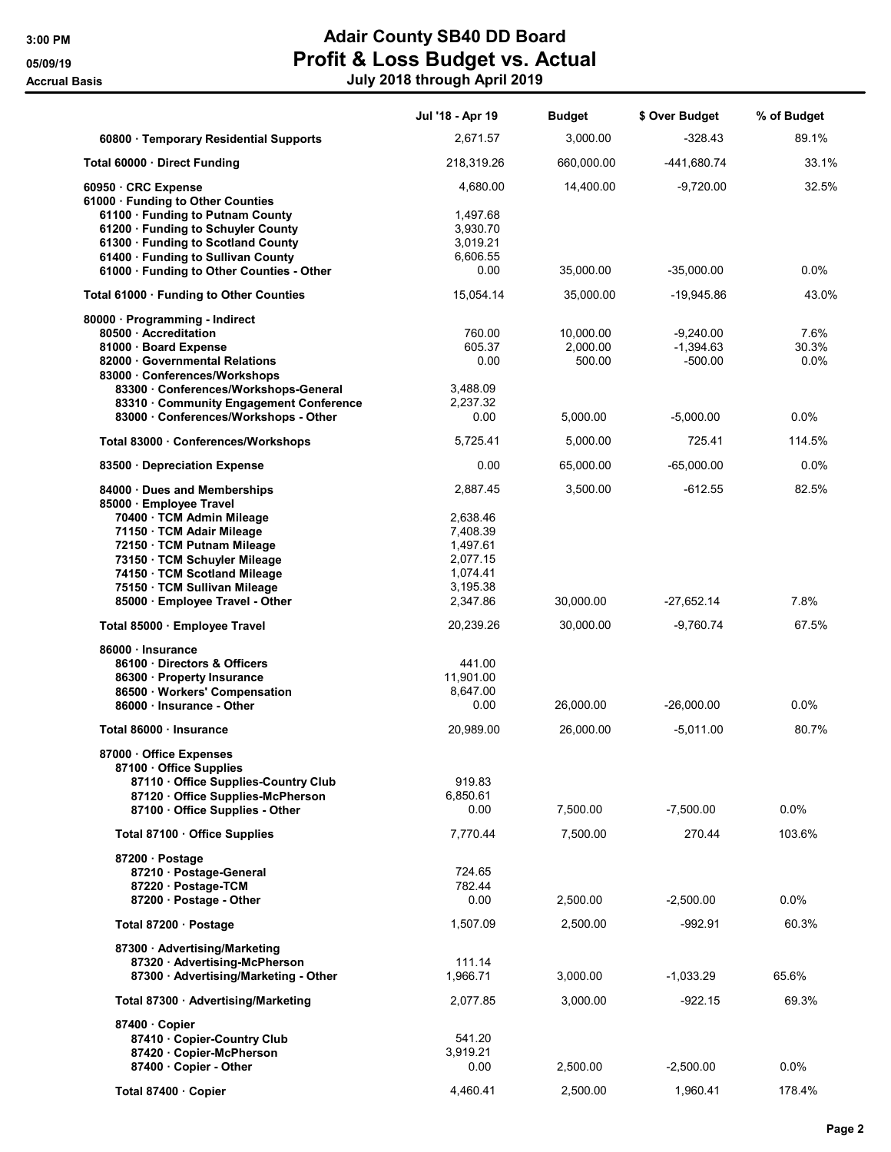## 3:00 PM **Adair County SB40 DD Board** 05/09/19 **Profit & Loss Budget vs. Actual** Accrual Basis July 2018 through April 2019

|                                                        | Jul '18 - Apr 19 | <b>Budget</b>      | \$ Over Budget             | % of Budget   |
|--------------------------------------------------------|------------------|--------------------|----------------------------|---------------|
| 60800 · Temporary Residential Supports                 | 2,671.57         | 3,000.00           | $-328.43$                  | 89.1%         |
| Total 60000 Direct Funding                             | 218,319.26       | 660,000.00         | -441,680.74                | 33.1%         |
| 60950 CRC Expense                                      | 4,680.00         | 14,400.00          | $-9,720.00$                | 32.5%         |
| 61000 · Funding to Other Counties                      |                  |                    |                            |               |
| 61100 · Funding to Putnam County                       | 1,497.68         |                    |                            |               |
| 61200 · Funding to Schuyler County                     | 3,930.70         |                    |                            |               |
| 61300 · Funding to Scotland County                     | 3,019.21         |                    |                            |               |
| 61400 · Funding to Sullivan County                     | 6,606.55         |                    |                            |               |
| 61000 · Funding to Other Counties - Other              | 0.00             | 35,000.00          | $-35,000.00$               | $0.0\%$       |
| Total 61000 · Funding to Other Counties                | 15,054.14        | 35,000.00          | $-19,945.86$               | 43.0%         |
| 80000 · Programming - Indirect                         |                  |                    |                            |               |
| 80500 · Accreditation                                  | 760.00<br>605.37 | 10,000.00          | $-9,240.00$<br>$-1,394.63$ | 7.6%          |
| 81000 · Board Expense<br>82000 Governmental Relations  | 0.00             | 2,000.00<br>500.00 | $-500.00$                  | 30.3%<br>0.0% |
| 83000 Conferences/Workshops                            |                  |                    |                            |               |
| 83300 Conferences/Workshops-General                    | 3.488.09         |                    |                            |               |
| 83310 Community Engagement Conference                  | 2,237.32         |                    |                            |               |
| 83000 Conferences/Workshops - Other                    | 0.00             | 5,000.00           | $-5,000.00$                | $0.0\%$       |
|                                                        |                  |                    |                            |               |
| Total 83000 · Conferences/Workshops                    | 5,725.41         | 5,000.00           | 725.41                     | 114.5%        |
| 83500 · Depreciation Expense                           | 0.00             | 65,000.00          | $-65,000.00$               | 0.0%          |
| 84000 Dues and Memberships                             | 2,887.45         | 3,500.00           | $-612.55$                  | 82.5%         |
| 85000 · Employee Travel                                | 2,638.46         |                    |                            |               |
| 70400 · TCM Admin Mileage<br>71150 · TCM Adair Mileage | 7,408.39         |                    |                            |               |
| 72150 · TCM Putnam Mileage                             | 1,497.61         |                    |                            |               |
| 73150 · TCM Schuyler Mileage                           | 2,077.15         |                    |                            |               |
| 74150 · TCM Scotland Mileage                           | 1,074.41         |                    |                            |               |
| 75150 · TCM Sullivan Mileage                           | 3,195.38         |                    |                            |               |
| 85000 · Employee Travel - Other                        | 2,347.86         | 30,000.00          | $-27,652.14$               | 7.8%          |
| Total 85000 · Employee Travel                          | 20,239.26        | 30,000.00          | $-9,760.74$                | 67.5%         |
|                                                        |                  |                    |                            |               |
| 86000 Insurance<br>86100 Directors & Officers          | 441.00           |                    |                            |               |
| 86300 · Property Insurance                             | 11,901.00        |                    |                            |               |
| 86500 · Workers' Compensation                          | 8,647.00         |                    |                            |               |
| 86000 · Insurance - Other                              | 0.00             | 26,000.00          | $-26,000.00$               | 0.0%          |
|                                                        |                  | 26,000.00          |                            |               |
| Total 86000 · Insurance                                | 20,989.00        |                    | $-5,011.00$                | 80.7%         |
| 87000 Office Expenses<br>87100 Office Supplies         |                  |                    |                            |               |
| 87110 Office Supplies-Country Club                     | 919.83           |                    |                            |               |
| 87120 Office Supplies-McPherson                        | 6,850.61         |                    |                            |               |
| 87100 · Office Supplies - Other                        | 0.00             | 7,500.00           | $-7,500.00$                | 0.0%          |
| Total 87100 · Office Supplies                          | 7.770.44         | 7,500.00           | 270.44                     | 103.6%        |
|                                                        |                  |                    |                            |               |
| 87200 · Postage                                        |                  |                    |                            |               |
| 87210 · Postage-General                                | 724.65           |                    |                            |               |
| 87220 · Postage-TCM                                    | 782.44           |                    |                            |               |
| 87200 · Postage - Other                                | 0.00             | 2,500.00           | $-2,500.00$                | 0.0%          |
| Total 87200 · Postage                                  | 1,507.09         | 2,500.00           | $-992.91$                  | 60.3%         |
| 87300 · Advertising/Marketing                          |                  |                    |                            |               |
| 87320 · Advertising-McPherson                          | 111.14           |                    |                            |               |
| 87300 · Advertising/Marketing - Other                  | 1,966.71         | 3,000.00           | $-1,033.29$                | 65.6%         |
| Total 87300 · Advertising/Marketing                    | 2,077.85         | 3,000.00           | $-922.15$                  | 69.3%         |
| 87400 Copier                                           |                  |                    |                            |               |
| 87410 Copier-Country Club                              | 541.20           |                    |                            |               |
| 87420 · Copier-McPherson                               | 3,919.21         |                    |                            |               |
| 87400 Copier - Other                                   | 0.00             | 2,500.00           | $-2,500.00$                | $0.0\%$       |
|                                                        |                  |                    |                            |               |
| Total 87400 · Copier                                   | 4,460.41         | 2,500.00           | 1,960.41                   | 178.4%        |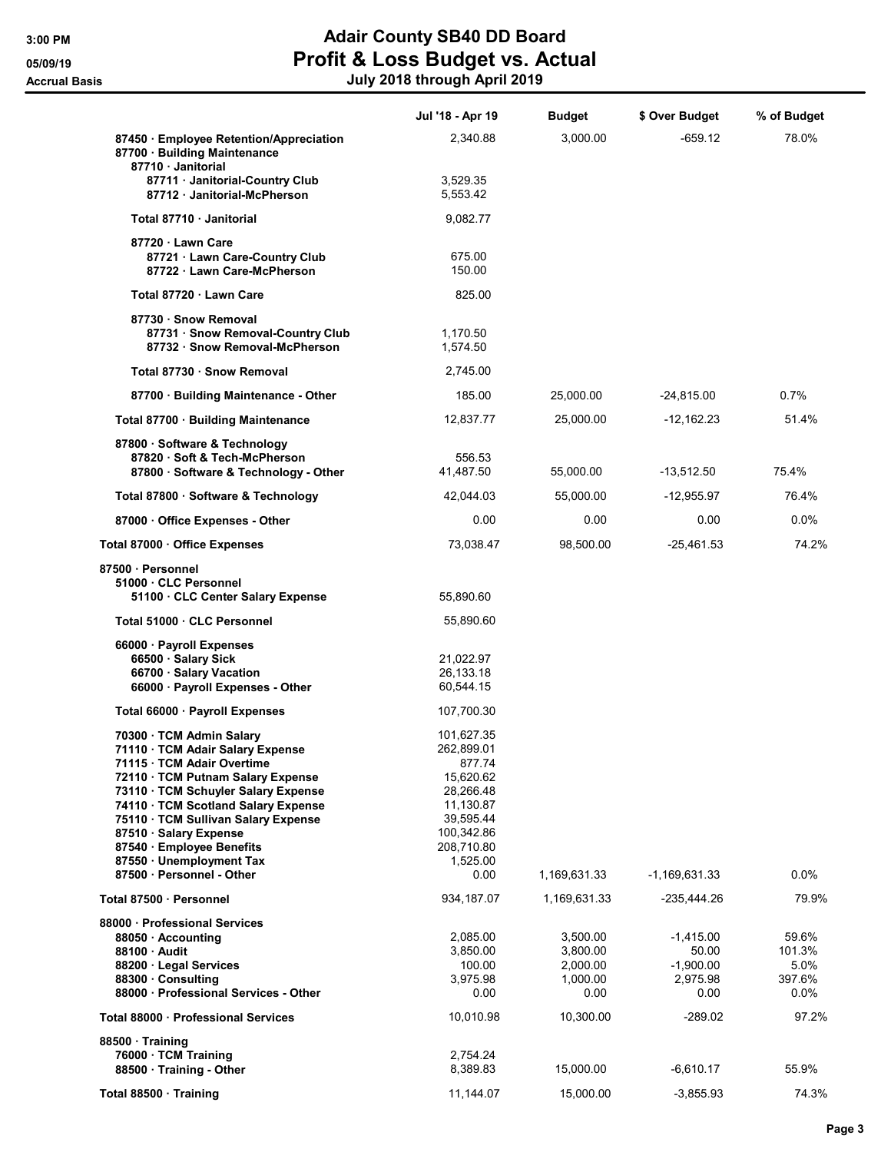# 3:00 PM **Adair County SB40 DD Board** 05/09/19 **Profit & Loss Budget vs. Actual** Accrual Basis July 2018 through April 2019

|                                                                                                         | Jul '18 - Apr 19       | <b>Budget</b> | \$ Over Budget  | % of Budget |
|---------------------------------------------------------------------------------------------------------|------------------------|---------------|-----------------|-------------|
| 87450 · Employee Retention/Appreciation<br>87700 · Building Maintenance                                 | 2,340.88               | 3,000.00      | $-659.12$       | 78.0%       |
| 87710 · Janitorial<br>87711 · Janitorial-Country Club<br>87712 Janitorial-McPherson                     | 3,529.35<br>5,553.42   |               |                 |             |
| Total 87710 Janitorial                                                                                  | 9,082.77               |               |                 |             |
| 87720 · Lawn Care<br>87721 · Lawn Care-Country Club<br>87722 · Lawn Care-McPherson                      | 675.00<br>150.00       |               |                 |             |
| Total 87720 Lawn Care                                                                                   | 825.00                 |               |                 |             |
| 87730 · Snow Removal<br>87731 · Snow Removal-Country Club<br>87732 · Snow Removal-McPherson             | 1,170.50<br>1,574.50   |               |                 |             |
| Total 87730 · Snow Removal                                                                              | 2,745.00               |               |                 |             |
| 87700 · Building Maintenance - Other                                                                    | 185.00                 | 25,000.00     | $-24,815.00$    | 0.7%        |
| Total 87700 · Building Maintenance                                                                      | 12,837.77              | 25,000.00     | -12,162.23      | 51.4%       |
| 87800 · Software & Technology<br>87820 · Soft & Tech-McPherson<br>87800 · Software & Technology - Other | 556.53<br>41,487.50    | 55,000.00     | $-13,512.50$    | 75.4%       |
| Total 87800 · Software & Technology                                                                     | 42,044.03              | 55,000.00     | -12,955.97      | 76.4%       |
| 87000 Office Expenses - Other                                                                           | 0.00                   | 0.00          | 0.00            | $0.0\%$     |
| Total 87000 · Office Expenses                                                                           | 73,038.47              | 98,500.00     | $-25,461.53$    | 74.2%       |
| 87500 Personnel<br>51000 · CLC Personnel<br>51100 · CLC Center Salary Expense                           | 55,890.60              |               |                 |             |
| Total 51000 · CLC Personnel                                                                             | 55,890.60              |               |                 |             |
| 66000 · Payroll Expenses                                                                                |                        |               |                 |             |
| 66500 · Salary Sick<br>66700 · Salary Vacation                                                          | 21,022.97<br>26,133.18 |               |                 |             |
| 66000 · Payroll Expenses - Other                                                                        | 60,544.15              |               |                 |             |
| Total 66000 · Payroll Expenses                                                                          | 107,700.30             |               |                 |             |
| 70300 · TCM Admin Salary                                                                                | 101,627.35             |               |                 |             |
| 71110 · TCM Adair Salary Expense                                                                        | 262,899.01             |               |                 |             |
| 71115 · TCM Adair Overtime<br>72110 · TCM Putnam Salary Expense                                         | 877.74<br>15,620.62    |               |                 |             |
| 73110 · TCM Schuyler Salary Expense                                                                     | 28,266.48              |               |                 |             |
| 74110 · TCM Scotland Salary Expense                                                                     | 11,130.87              |               |                 |             |
| 75110 · TCM Sullivan Salary Expense                                                                     | 39,595.44              |               |                 |             |
| 87510 · Salary Expense                                                                                  | 100,342.86             |               |                 |             |
| 87540 · Employee Benefits                                                                               | 208,710.80             |               |                 |             |
| 87550 · Unemployment Tax<br>87500 · Personnel - Other                                                   | 1,525.00<br>0.00       | 1,169,631.33  | $-1,169,631.33$ | $0.0\%$     |
| Total 87500 · Personnel                                                                                 | 934, 187.07            | 1,169,631.33  | -235,444.26     | 79.9%       |
| 88000 Professional Services                                                                             |                        |               |                 |             |
| 88050 · Accounting                                                                                      | 2,085.00               | 3,500.00      | $-1,415.00$     | 59.6%       |
| 88100 Audit                                                                                             | 3,850.00               | 3,800.00      | 50.00           | 101.3%      |
| 88200 · Legal Services                                                                                  | 100.00                 | 2,000.00      | $-1,900.00$     | 5.0%        |
| 88300 Consulting                                                                                        | 3,975.98               | 1,000.00      | 2,975.98        | 397.6%      |
| 88000 · Professional Services - Other                                                                   | 0.00                   | 0.00          | 0.00            | $0.0\%$     |
| Total 88000 · Professional Services                                                                     | 10,010.98              | 10,300.00     | -289.02         | 97.2%       |
| 88500 Training                                                                                          |                        |               |                 |             |
| 76000 · TCM Training<br>88500 Training - Other                                                          | 2,754.24<br>8,389.83   | 15,000.00     | $-6,610.17$     | 55.9%       |
|                                                                                                         |                        |               |                 |             |
| Total 88500 · Training                                                                                  | 11,144.07              | 15,000.00     | $-3,855.93$     | 74.3%       |